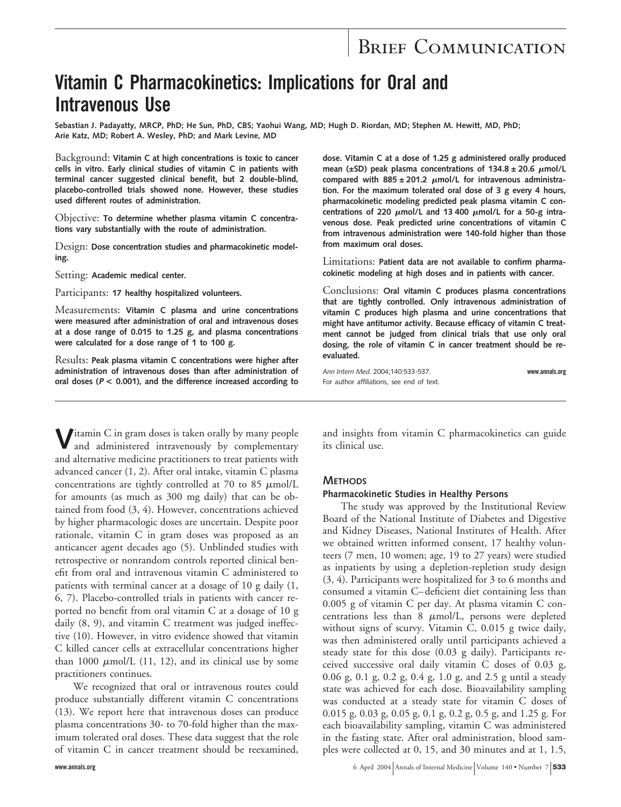# BRIEF COMMUNICATION

# **Vitamin C Pharmacokinetics: Implications for Oral and Intravenous Use**

**Sebastian J. Padayatty, MRCP, PhD; He Sun, PhD, CBS; Yaohui Wang, MD; Hugh D. Riordan, MD; Stephen M. Hewitt, MD, PhD; Arie Katz, MD; Robert A. Wesley, PhD; and Mark Levine, MD**

Background: **Vitamin C at high concentrations is toxic to cancer cells in vitro. Early clinical studies of vitamin C in patients with terminal cancer suggested clinical benefit, but 2 double-blind, placebo-controlled trials showed none. However, these studies used different routes of administration.**

Objective: **To determine whether plasma vitamin C concentrations vary substantially with the route of administration.**

Design: **Dose concentration studies and pharmacokinetic modeling.**

Setting: **Academic medical center.**

Participants: **17 healthy hospitalized volunteers.**

Measurements: **Vitamin C plasma and urine concentrations were measured after administration of oral and intravenous doses at a dose range of 0.015 to 1.25 g, and plasma concentrations were calculated for a dose range of 1 to 100 g.**

Results: **Peak plasma vitamin C concentrations were higher after administration of intravenous doses than after administration of oral doses (<sup>P</sup> < 0.001), and the difference increased according to**

**V**itamin C in gram doses is taken orally by many people and administered intravenously by complementary and alternative medicine practitioners to treat patients with advanced cancer (1, 2). After oral intake, vitamin C plasma concentrations are tightly controlled at 70 to 85  $\mu$ mol/L for amounts (as much as 300 mg daily) that can be obtained from food (3, 4). However, concentrations achieved by higher pharmacologic doses are uncertain. Despite poor rationale, vitamin C in gram doses was proposed as an anticancer agent decades ago (5). Unblinded studies with retrospective or nonrandom controls reported clinical benefit from oral and intravenous vitamin C administered to patients with terminal cancer at a dosage of 10 g daily (1, 6, 7). Placebo-controlled trials in patients with cancer reported no benefit from oral vitamin C at a dosage of 10 g daily (8, 9), and vitamin C treatment was judged ineffective (10). However, in vitro evidence showed that vitamin C killed cancer cells at extracellular concentrations higher than 1000  $\mu$ mol/L (11, 12), and its clinical use by some practitioners continues.

We recognized that oral or intravenous routes could produce substantially different vitamin C concentrations (13). We report here that intravenous doses can produce plasma concentrations 30- to 70-fold higher than the maximum tolerated oral doses. These data suggest that the role of vitamin C in cancer treatment should be reexamined,

**dose. Vitamin C at a dose of 1.25 g administered orally produced** mean ( $\pm$ SD) peak plasma concentrations of 134.8  $\pm$  20.6  $\mu$ mol/L compared with  $885 \pm 201.2$   $\mu$ mol/L for intravenous administra**tion. For the maximum tolerated oral dose of 3 g every 4 hours, pharmacokinetic modeling predicted peak plasma vitamin C con**centrations of 220  $\mu$ mol/L and 13 400  $\mu$ mol/L for a 50-g intra**venous dose. Peak predicted urine concentrations of vitamin C from intravenous administration were 140-fold higher than those from maximum oral doses.**

Limitations: **Patient data are not available to confirm pharmacokinetic modeling at high doses and in patients with cancer.**

Conclusions: **Oral vitamin C produces plasma concentrations that are tightly controlled. Only intravenous administration of vitamin C produces high plasma and urine concentrations that might have antitumor activity. Because efficacy of vitamin C treatment cannot be judged from clinical trials that use only oral dosing, the role of vitamin C in cancer treatment should be reevaluated.**

*Ann Intern Med.* 2004;140:533-537. **www.annals.org** For author affiliations, see end of text.

and insights from vitamin C pharmacokinetics can guide its clinical use.

#### **METHODS**

#### **Pharmacokinetic Studies in Healthy Persons**

The study was approved by the Institutional Review Board of the National Institute of Diabetes and Digestive and Kidney Diseases, National Institutes of Health. After we obtained written informed consent, 17 healthy volunteers (7 men, 10 women; age, 19 to 27 years) were studied as inpatients by using a depletion-repletion study design (3, 4). Participants were hospitalized for 3 to 6 months and consumed a vitamin C–deficient diet containing less than 0.005 g of vitamin C per day. At plasma vitamin C concentrations less than  $8 \mu \text{mol/L}$ , persons were depleted without signs of scurvy. Vitamin C, 0.015 g twice daily, was then administered orally until participants achieved a steady state for this dose (0.03 g daily). Participants received successive oral daily vitamin C doses of 0.03 g, 0.06 g, 0.1 g, 0.2 g, 0.4 g, 1.0 g, and 2.5 g until a steady state was achieved for each dose. Bioavailability sampling was conducted at a steady state for vitamin C doses of 0.015 g, 0.03 g, 0.05 g, 0.1 g, 0.2 g, 0.5 g, and 1.25 g. For each bioavailability sampling, vitamin C was administered in the fasting state. After oral administration, blood samples were collected at 0, 15, and 30 minutes and at 1, 1.5,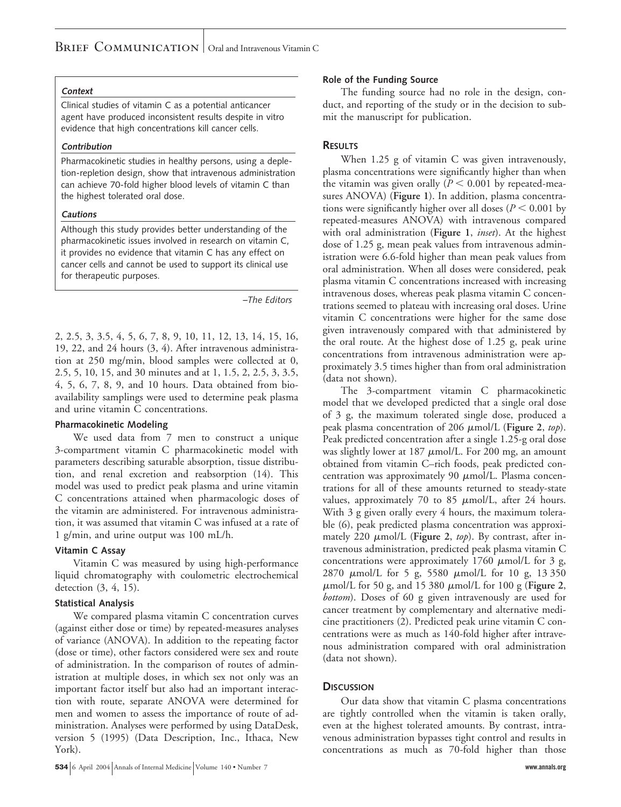#### **Context**

Clinical studies of vitamin C as a potential anticancer agent have produced inconsistent results despite in vitro evidence that high concentrations kill cancer cells.

#### **Contribution**

Pharmacokinetic studies in healthy persons, using a depletion-repletion design, show that intravenous administration can achieve 70-fold higher blood levels of vitamin C than the highest tolerated oral dose.

#### **Cautions**

Although this study provides better understanding of the pharmacokinetic issues involved in research on vitamin C, it provides no evidence that vitamin C has any effect on cancer cells and cannot be used to support its clinical use for therapeutic purposes.

*–The Editors*

2, 2.5, 3, 3.5, 4, 5, 6, 7, 8, 9, 10, 11, 12, 13, 14, 15, 16, 19, 22, and 24 hours (3, 4). After intravenous administration at 250 mg/min, blood samples were collected at 0, 2.5, 5, 10, 15, and 30 minutes and at 1, 1.5, 2, 2.5, 3, 3.5, 4, 5, 6, 7, 8, 9, and 10 hours. Data obtained from bioavailability samplings were used to determine peak plasma and urine vitamin C concentrations.

## **Pharmacokinetic Modeling**

We used data from 7 men to construct a unique 3-compartment vitamin C pharmacokinetic model with parameters describing saturable absorption, tissue distribution, and renal excretion and reabsorption (14). This model was used to predict peak plasma and urine vitamin C concentrations attained when pharmacologic doses of the vitamin are administered. For intravenous administration, it was assumed that vitamin C was infused at a rate of 1 g/min, and urine output was 100 mL/h.

## **Vitamin C Assay**

Vitamin C was measured by using high-performance liquid chromatography with coulometric electrochemical detection (3, 4, 15).

## **Statistical Analysis**

We compared plasma vitamin C concentration curves (against either dose or time) by repeated-measures analyses of variance (ANOVA). In addition to the repeating factor (dose or time), other factors considered were sex and route of administration. In the comparison of routes of administration at multiple doses, in which sex not only was an important factor itself but also had an important interaction with route, separate ANOVA were determined for men and women to assess the importance of route of administration. Analyses were performed by using DataDesk, version 5 (1995) (Data Description, Inc., Ithaca, New York).

#### **534** 6 April 2004 Annals of Internal Medicine Volume 140 • Number 7 **www.annals.org**

## **Role of the Funding Source**

The funding source had no role in the design, conduct, and reporting of the study or in the decision to submit the manuscript for publication.

## **RESULTS**

When 1.25 g of vitamin C was given intravenously, plasma concentrations were significantly higher than when the vitamin was given orally  $(P < 0.001$  by repeated-measures ANOVA) (**Figure 1**). In addition, plasma concentrations were significantly higher over all doses ( $P < 0.001$  by repeated-measures ANOVA) with intravenous compared with oral administration (**Figure 1**, *inset*). At the highest dose of 1.25 g, mean peak values from intravenous administration were 6.6-fold higher than mean peak values from oral administration. When all doses were considered, peak plasma vitamin C concentrations increased with increasing intravenous doses, whereas peak plasma vitamin C concentrations seemed to plateau with increasing oral doses. Urine vitamin C concentrations were higher for the same dose given intravenously compared with that administered by the oral route. At the highest dose of 1.25 g, peak urine concentrations from intravenous administration were approximately 3.5 times higher than from oral administration (data not shown).

The 3-compartment vitamin C pharmacokinetic model that we developed predicted that a single oral dose of 3 g, the maximum tolerated single dose, produced a peak plasma concentration of 206  $\mu$ mol/L (Figure 2, *top*). Peak predicted concentration after a single 1.25-g oral dose was slightly lower at  $187 \mu$ mol/L. For 200 mg, an amount obtained from vitamin C–rich foods, peak predicted concentration was approximately 90  $\mu$ mol/L. Plasma concentrations for all of these amounts returned to steady-state values, approximately 70 to 85  $\mu$ mol/L, after 24 hours. With 3 g given orally every 4 hours, the maximum tolerable (6), peak predicted plasma concentration was approximately 220  $\mu$ mol/L (Figure 2, *top*). By contrast, after intravenous administration, predicted peak plasma vitamin C concentrations were approximately  $1760 \mu$ mol/L for 3 g, 2870  $\mu$ mol/L for 5 g, 5580  $\mu$ mol/L for 10 g, 13 350  $\mu$ mol/L for 50 g, and 15 380  $\mu$ mol/L for 100 g (Figure 2, *bottom*). Doses of 60 g given intravenously are used for cancer treatment by complementary and alternative medicine practitioners (2). Predicted peak urine vitamin C concentrations were as much as 140-fold higher after intravenous administration compared with oral administration (data not shown).

# **DISCUSSION**

Our data show that vitamin C plasma concentrations are tightly controlled when the vitamin is taken orally, even at the highest tolerated amounts. By contrast, intravenous administration bypasses tight control and results in concentrations as much as 70-fold higher than those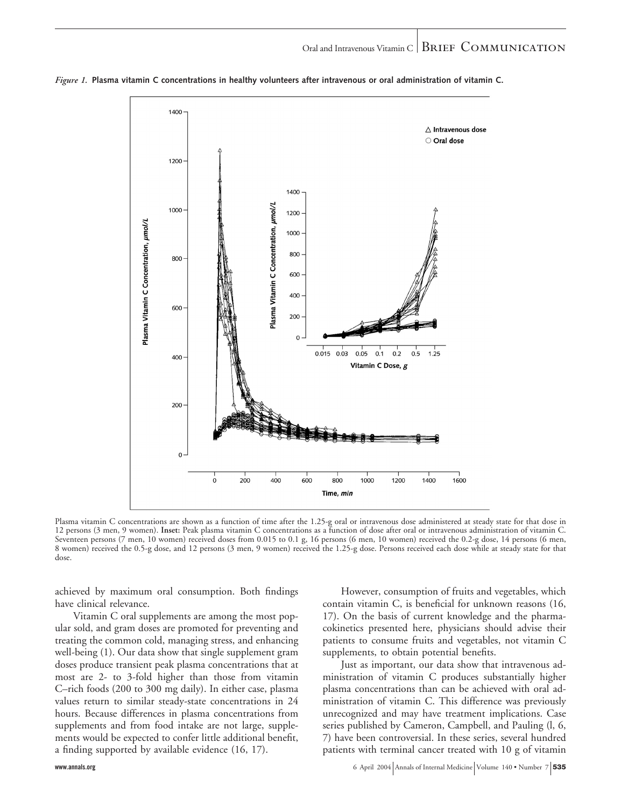

*Figure 1.* **Plasma vitamin C concentrations in healthy volunteers after intravenous or oral administration of vitamin C.**

Plasma vitamin C concentrations are shown as a function of time after the 1.25-g oral or intravenous dose administered at steady state for that dose in 12 persons (3 men, 9 women). **Inset:** Peak plasma vitamin C concentrations as a function of dose after oral or intravenous administration of vitamin C. Seventeen persons (7 men, 10 women) received doses from 0.015 to 0.1 g, 16 persons (6 men, 10 women) received the 0.2-g dose, 14 persons (6 men, 8 women) received the 0.5-g dose, and 12 persons (3 men, 9 women) received the 1.25-g dose. Persons received each dose while at steady state for that dose.

achieved by maximum oral consumption. Both findings have clinical relevance.

Vitamin C oral supplements are among the most popular sold, and gram doses are promoted for preventing and treating the common cold, managing stress, and enhancing well-being (1). Our data show that single supplement gram doses produce transient peak plasma concentrations that at most are 2- to 3-fold higher than those from vitamin C–rich foods (200 to 300 mg daily). In either case, plasma values return to similar steady-state concentrations in 24 hours. Because differences in plasma concentrations from supplements and from food intake are not large, supplements would be expected to confer little additional benefit, a finding supported by available evidence (16, 17).

However, consumption of fruits and vegetables, which contain vitamin C, is beneficial for unknown reasons (16, 17). On the basis of current knowledge and the pharmacokinetics presented here, physicians should advise their patients to consume fruits and vegetables, not vitamin C supplements, to obtain potential benefits.

Just as important, our data show that intravenous administration of vitamin C produces substantially higher plasma concentrations than can be achieved with oral administration of vitamin C. This difference was previously unrecognized and may have treatment implications. Case series published by Cameron, Campbell, and Pauling (l, 6, 7) have been controversial. In these series, several hundred patients with terminal cancer treated with 10 g of vitamin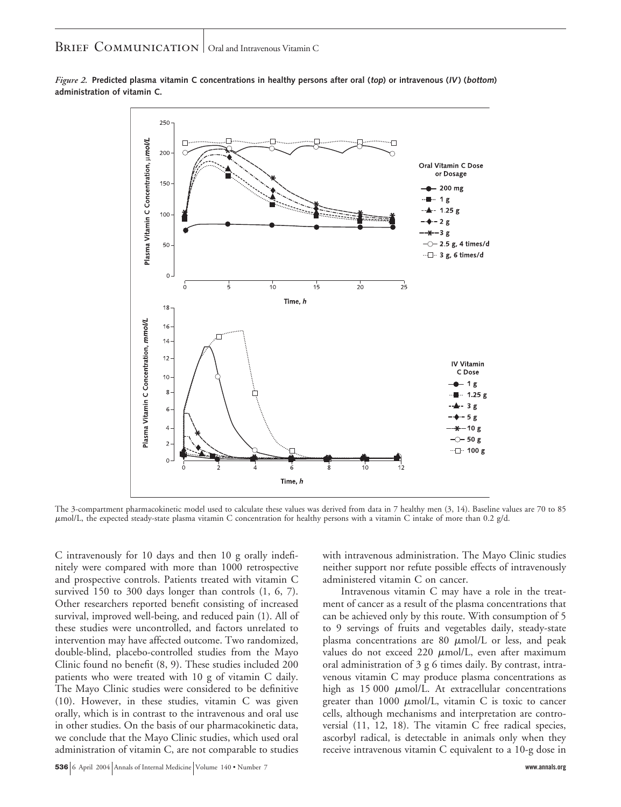BRIEF COMMUNICATION Oral and Intravenous Vitamin C



**administration of vitamin C.** *Figure 2.* **Predicted plasma vitamin C concentrations in healthy persons after oral (top) or intravenous (IV) (bottom)**

The 3-compartment pharmacokinetic model used to calculate these values was derived from data in 7 healthy men (3, 14). Baseline values are 70 to 85 mol/L, the expected steady-state plasma vitamin C concentration for healthy persons with a vitamin C intake of more than 0.2 g/d.

C intravenously for 10 days and then 10 g orally indefinitely were compared with more than 1000 retrospective and prospective controls. Patients treated with vitamin C survived 150 to 300 days longer than controls (1, 6, 7). Other researchers reported benefit consisting of increased survival, improved well-being, and reduced pain (1). All of these studies were uncontrolled, and factors unrelated to intervention may have affected outcome. Two randomized, double-blind, placebo-controlled studies from the Mayo Clinic found no benefit (8, 9). These studies included 200 patients who were treated with 10 g of vitamin C daily. The Mayo Clinic studies were considered to be definitive (10). However, in these studies, vitamin C was given orally, which is in contrast to the intravenous and oral use in other studies. On the basis of our pharmacokinetic data, we conclude that the Mayo Clinic studies, which used oral administration of vitamin C, are not comparable to studies

with intravenous administration. The Mayo Clinic studies neither support nor refute possible effects of intravenously administered vitamin C on cancer.

Intravenous vitamin C may have a role in the treatment of cancer as a result of the plasma concentrations that can be achieved only by this route. With consumption of 5 to 9 servings of fruits and vegetables daily, steady-state plasma concentrations are 80  $\mu$ mol/L or less, and peak values do not exceed  $220 \mu mol/L$ , even after maximum oral administration of 3 g 6 times daily. By contrast, intravenous vitamin C may produce plasma concentrations as high as  $15\,000$   $\mu$ mol/L. At extracellular concentrations greater than  $1000 \mu \text{mol/L}$ , vitamin C is toxic to cancer cells, although mechanisms and interpretation are controversial (11, 12, 18). The vitamin C free radical species, ascorbyl radical, is detectable in animals only when they receive intravenous vitamin C equivalent to a 10-g dose in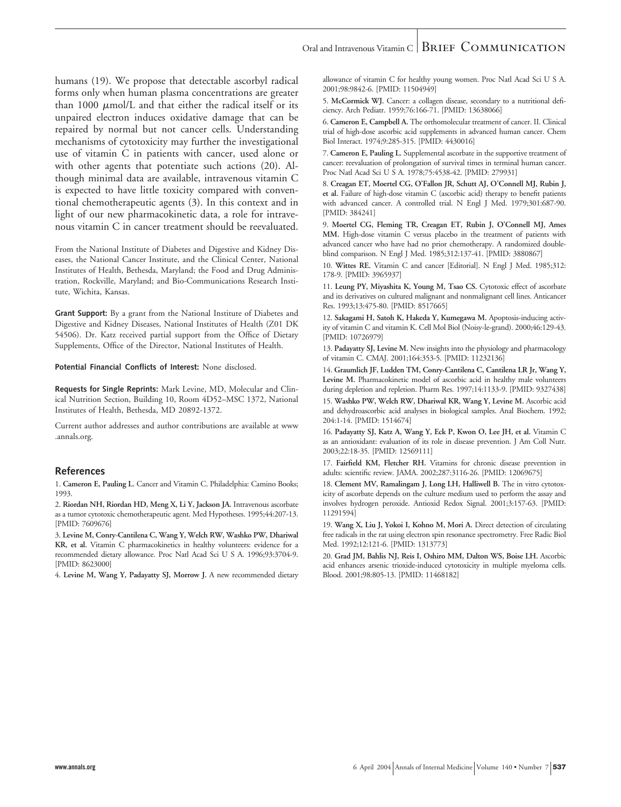# Oral and Intravenous Vitamin C  $\vert$  BRIEF COMMUNICATION

humans (19). We propose that detectable ascorbyl radical forms only when human plasma concentrations are greater than  $1000 \mu$ mol/L and that either the radical itself or its unpaired electron induces oxidative damage that can be repaired by normal but not cancer cells. Understanding mechanisms of cytotoxicity may further the investigational use of vitamin C in patients with cancer, used alone or with other agents that potentiate such actions (20). Although minimal data are available, intravenous vitamin C is expected to have little toxicity compared with conventional chemotherapeutic agents (3). In this context and in light of our new pharmacokinetic data, a role for intravenous vitamin C in cancer treatment should be reevaluated.

From the National Institute of Diabetes and Digestive and Kidney Diseases, the National Cancer Institute, and the Clinical Center, National Institutes of Health, Bethesda, Maryland; the Food and Drug Administration, Rockville, Maryland; and Bio-Communications Research Institute, Wichita, Kansas.

**Grant Support:** By a grant from the National Institute of Diabetes and Digestive and Kidney Diseases, National Institutes of Health (Z01 DK 54506). Dr. Katz received partial support from the Office of Dietary Supplements, Office of the Director, National Institutes of Health.

**Potential Financial Conflicts of Interest:** None disclosed.

**Requests for Single Reprints:** Mark Levine, MD, Molecular and Clinical Nutrition Section, Building 10, Room 4D52–MSC 1372, National Institutes of Health, Bethesda, MD 20892-1372.

Current author addresses and author contributions are available at www .annals.org.

#### **References**

1. **Cameron E, Pauling L.** Cancer and Vitamin C. Philadelphia: Camino Books; 1993.

2. **Riordan NH, Riordan HD, Meng X, Li Y, Jackson JA.** Intravenous ascorbate as a tumor cytotoxic chemotherapeutic agent. Med Hypotheses. 1995;44:207-13. [PMID: 7609676]

3. **Levine M, Conry-Cantilena C, Wang Y, Welch RW, Washko PW, Dhariwal KR, et al.** Vitamin C pharmacokinetics in healthy volunteers: evidence for a recommended dietary allowance. Proc Natl Acad Sci U S A. 1996;93:3704-9. [PMID: 8623000]

4. **Levine M, Wang Y, Padayatty SJ, Morrow J.** A new recommended dietary

allowance of vitamin C for healthy young women. Proc Natl Acad Sci U S A. 2001;98:9842-6. [PMID: 11504949]

5. **McCormick WJ.** Cancer: a collagen disease, secondary to a nutritional deficiency. Arch Pediatr. 1959;76:166-71. [PMID: 13638066]

6. **Cameron E, Campbell A.** The orthomolecular treatment of cancer. II. Clinical trial of high-dose ascorbic acid supplements in advanced human cancer. Chem Biol Interact. 1974;9:285-315. [PMID: 4430016]

7. **Cameron E, Pauling L.** Supplemental ascorbate in the supportive treatment of cancer: reevaluation of prolongation of survival times in terminal human cancer. Proc Natl Acad Sci U S A. 1978;75:4538-42. [PMID: 279931]

8. **Creagan ET, Moertel CG, O'Fallon JR, Schutt AJ, O'Connell MJ, Rubin J, et al.** Failure of high-dose vitamin C (ascorbic acid) therapy to benefit patients with advanced cancer. A controlled trial. N Engl J Med. 1979;301:687-90. [PMID: 384241]

9. **Moertel CG, Fleming TR, Creagan ET, Rubin J, O'Connell MJ, Ames MM.** High-dose vitamin C versus placebo in the treatment of patients with advanced cancer who have had no prior chemotherapy. A randomized doubleblind comparison. N Engl J Med. 1985;312:137-41. [PMID: 3880867]

10. **Wittes RE.** Vitamin C and cancer [Editorial]. N Engl J Med. 1985;312: 178-9. [PMID: 3965937]

11. **Leung PY, Miyashita K, Young M, Tsao CS.** Cytotoxic effect of ascorbate and its derivatives on cultured malignant and nonmalignant cell lines. Anticancer Res. 1993;13:475-80. [PMID: 8517665]

12. **Sakagami H, Satoh K, Hakeda Y, Kumegawa M.** Apoptosis-inducing activity of vitamin C and vitamin K. Cell Mol Biol (Noisy-le-grand). 2000;46:129-43. [PMID: 10726979]

13. **Padayatty SJ, Levine M.** New insights into the physiology and pharmacology of vitamin C. CMAJ. 2001;164:353-5. [PMID: 11232136]

14. **Graumlich JF, Ludden TM, Conry-Cantilena C, Cantilena LR Jr, Wang Y, Levine M.** Pharmacokinetic model of ascorbic acid in healthy male volunteers during depletion and repletion. Pharm Res. 1997;14:1133-9. [PMID: 9327438]

15. **Washko PW, Welch RW, Dhariwal KR, Wang Y, Levine M.** Ascorbic acid and dehydroascorbic acid analyses in biological samples. Anal Biochem. 1992; 204:1-14. [PMID: 1514674]

16. **Padayatty SJ, Katz A, Wang Y, Eck P, Kwon O, Lee JH, et al.** Vitamin C as an antioxidant: evaluation of its role in disease prevention. J Am Coll Nutr. 2003;22:18-35. [PMID: 12569111]

17. **Fairfield KM, Fletcher RH.** Vitamins for chronic disease prevention in adults: scientific review. JAMA. 2002;287:3116-26. [PMID: 12069675]

18. **Clement MV, Ramalingam J, Long LH, Halliwell B.** The in vitro cytotoxicity of ascorbate depends on the culture medium used to perform the assay and involves hydrogen peroxide. Antioxid Redox Signal. 2001;3:157-63. [PMID: 11291594]

19. **Wang X, Liu J, Yokoi I, Kohno M, Mori A.** Direct detection of circulating free radicals in the rat using electron spin resonance spectrometry. Free Radic Biol Med. 1992;12:121-6. [PMID: 1313773]

20. **Grad JM, Bahlis NJ, Reis I, Oshiro MM, Dalton WS, Boise LH.** Ascorbic acid enhances arsenic trioxide-induced cytotoxicity in multiple myeloma cells. Blood. 2001;98:805-13. [PMID: 11468182]